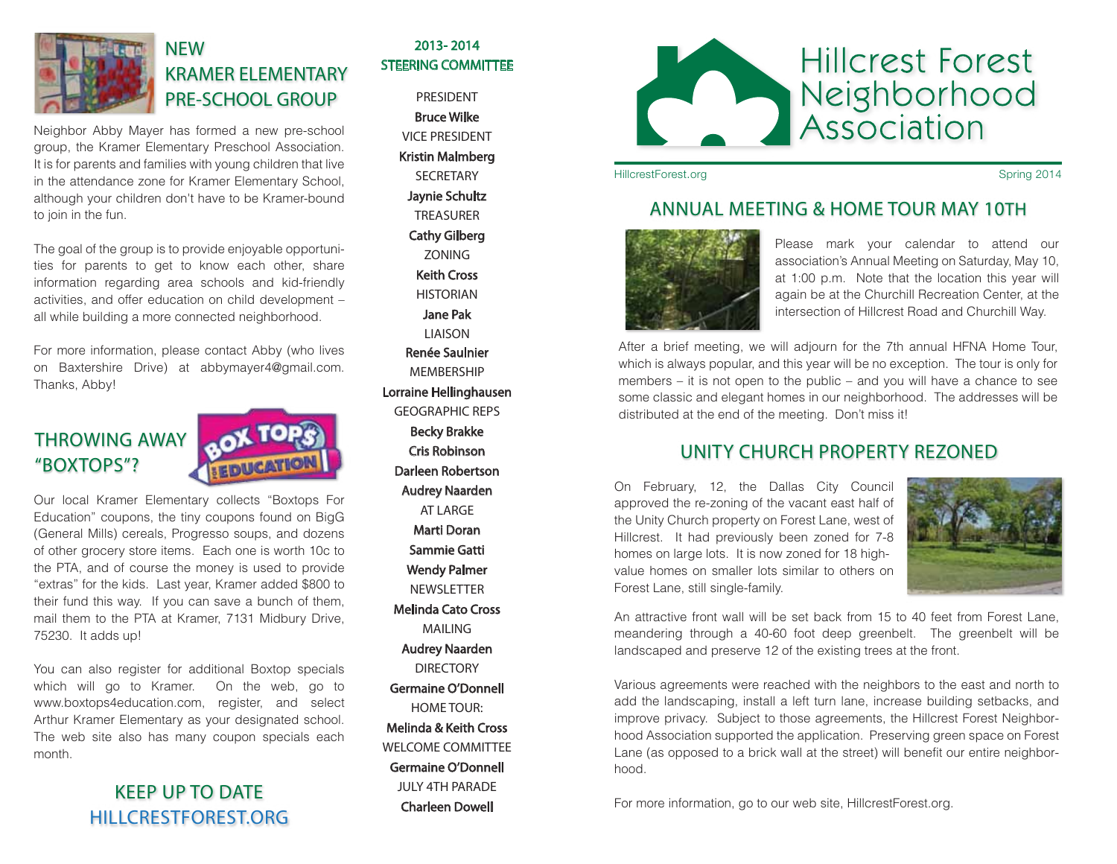

## **NEW** KRAMER ELEMENTARY PRE-SCHOOL GROUP

Neighbor Abby Mayer has formed a new pre-school group, the Kramer Elementary Preschool Association. It is for parents and families with young children that live in the attendance zone for Kramer Elementary School, although your children don't have to be Kramer-bound to join in the fun.

The goal of the group is to provide enjoyable opportunities for parents to get to know each other, share information regarding area schools and kid-friendly activities, and offer education on child development – all while building a more connected neighborhood.

For more information, please contact Abby (who lives on Baxtershire Drive) at abbymayer4@gmail.com. Thanks, Abby!

# THROWING AWAY "BOXTOPS"?



Our local Kramer Elementary collects "Boxtops For Education" coupons, the tiny coupons found on BigG (General Mills) cereals, Progresso soups, and dozens of other grocery store items. Each one is worth 10c to the PTA, and of course the money is used to provide "extras" for the kids. Last year, Kramer added \$800 to their fund this way. If you can save a bunch of them, mail them to the PTA at Kramer, 7131 Midbury Drive, 75230. It adds up!

You can also register for additional Boxtop specials which will go to Kramer. On the web, go to www.boxtops4education.com, register, and select Arthur Kramer Elementary as your designated school. The web site also has many coupon specials each month.

### KEEP UP TO DATE HILLCRESTFOREST.ORG

#### 2013- 2014 STEERING COMMITTEE

PRESIDENT Bruce Wilke VICE PRESIDENT Kristin Malmberg **SECRETARY** Jaynie Schultz TREASURER Cathy Gilberg ZONING Keith Cross HISTORIAN Jane Pak **LIAISON** Renée Saulnier **MEMRERSHIP** Lorraine Hellinghausen GEOGRAPHIC REPS Becky Brakke Cris Robinson Darleen Robertson Audrey Naarden AT LARGE Marti Doran Sammie Gatti Wendy Palmer NEWSLETTER Melinda Cato Cross MAILING Audrey Naarden **DIRECTORY** Germaine O'Donnell HOME TOUR<sup>.</sup> Melinda & Keith Cross WELCOME COMMITTEE

Germaine O'Donnell JULY 4TH PARADE Charleen Dowell



HillcrestForest.org Spring 2014

#### ANNUAL MEETING & HOME TOUR MAY 10TH



Please mark your calendar to attend our association's Annual Meeting on Saturday, May 10, at 1:00 p.m. Note that the location this year will again be at the Churchill Recreation Center, at the intersection of Hillcrest Road and Churchill Way.

After a brief meeting, we will adjourn for the 7th annual HFNA Home Tour, which is always popular, and this year will be no exception. The tour is only for members – it is not open to the public – and you will have a chance to see some classic and elegant homes in our neighborhood. The addresses will be distributed at the end of the meeting. Don't miss it!

### UNITY CHURCH PROPERTY REZONED

On February, 12, the Dallas City Council approved the re-zoning of the vacant east half of the Unity Church property on Forest Lane, west of Hillcrest. It had previously been zoned for 7-8 homes on large lots. It is now zoned for 18 highvalue homes on smaller lots similar to others on Forest Lane, still single-family.



An attractive front wall will be set back from 15 to 40 feet from Forest Lane, meandering through a 40-60 foot deep greenbelt. The greenbelt will be landscaped and preserve 12 of the existing trees at the front.

Various agreements were reached with the neighbors to the east and north to add the landscaping, install a left turn lane, increase building setbacks, and improve privacy. Subject to those agreements, the Hillcrest Forest Neighborhood Association supported the application. Preserving green space on Forest Lane (as opposed to a brick wall at the street) will benefit our entire neighborhood.

For more information, go to our web site, HillcrestForest.org.